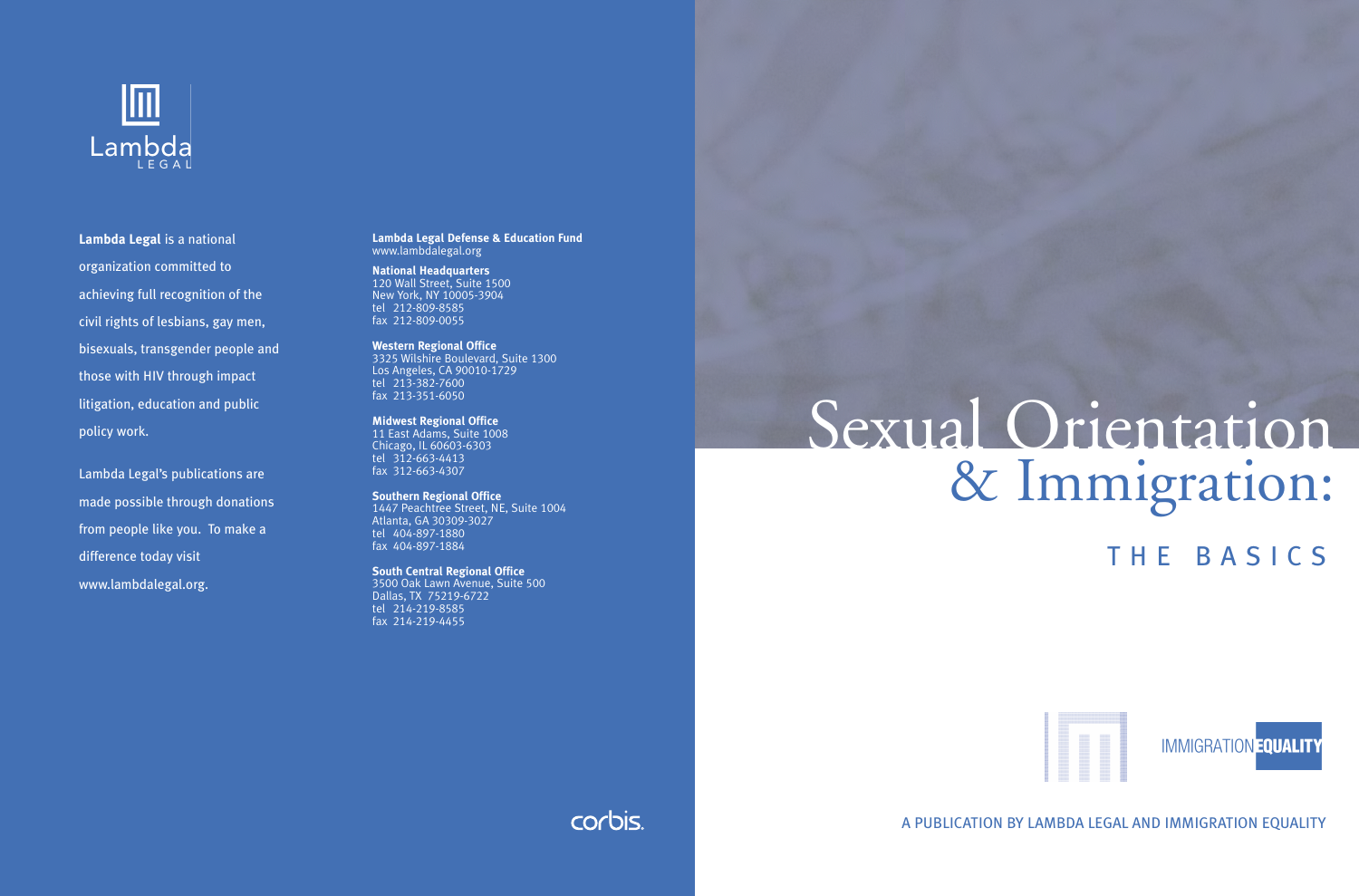

**Lambda Legal** is a national organization committed to achieving full recognition of the civil rights of lesbians, gay men, bisexuals, transgender people and those with HIV through impact litigation, education and public policy work.

Lambda Legal's publications are made possible through donations from people like you. To make a difference today visit www.lambdalegal.org.

**Lambda Legal Defense & Education Fund**  www.lambdalegal.org

**National Headquarters** 120 Wall Street, Suite 1500 New York, NY 10005-3904 tel 212-809-8585 fax 212-809-0055

**Western Regional Office** 3325 Wilshire Boulevard, Suite 1300 Los Angeles, CA 90010-1729 tel 213-382-7600 fax 213-351-6050

**Midwest Regional Office** 11 East Adams, Suite 1008 Chicago, IL 60603-6303 tel 312-663-4413 fax 312-663-4307

**Southern Regional Office** 1447 Peachtree Street, NE, Suite 1004 Atlanta, GA 30309-3027 tel 404-897-1880 fax 404-897-1884

**South Central Regional Office** 3500 Oak Lawn Avenue, Suite 500 Dallas, TX 75219-6722 tel 214-219-8585 fax 214-219-4455

# Sexual Orientation & Immigration:

THE BASICS



A PUBLICATION BY LAMBDA LEGAL AND IMMIGRATION EQUALITY

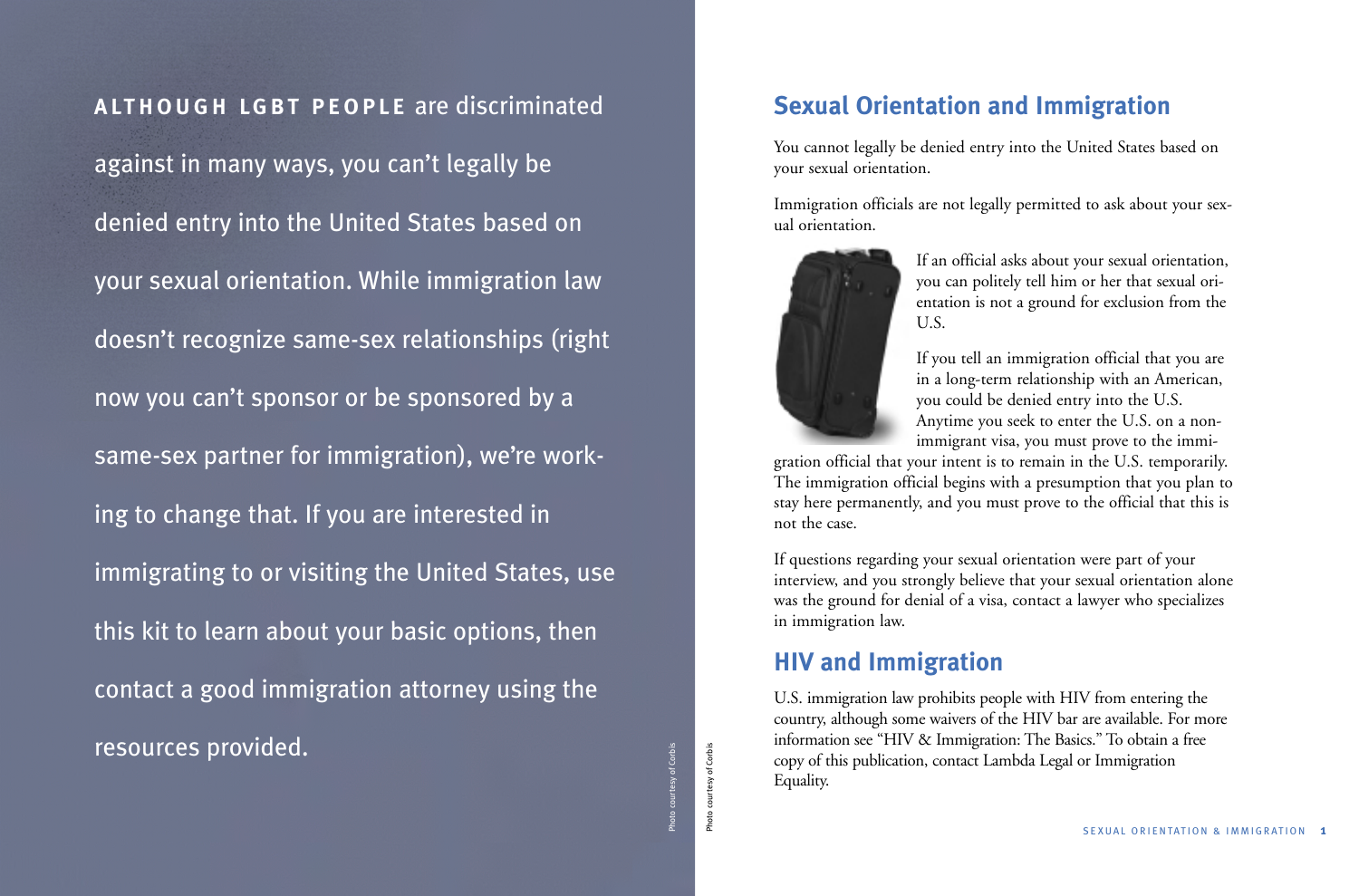## **ALTHOUGH LGBT PEOPLE** are discriminated

against in many ways, you can't legally be denied entry into the United States based on your sexual orientation. While immigration law doesn't recognize same-sex relationships (right now you can't sponsor or be sponsored by a same-sex partner for immigration), we're working to change that. If you are interested in immigrating to or visiting the United States, use this kit to learn about your basic options, then contact a good immigration attorney using the resources provided.

Photo courtesy of Corbis

Photo courtesy of Corbis

## **Sexual Orientation and Immigration**

You cannot legally be denied entry into the United States based on your sexual orientation.

Immigration officials are not legally permitted to ask about your sexual orientation.



If an official asks about your sexual orientation, you can politely tell him or her that sexual orientation is not a ground for exclusion from the U.S.

If you tell an immigration official that you are in a long-term relationship with an American, you could be denied entry into the U.S. Anytime you seek to enter the U.S. on a nonimmigrant visa, you must prove to the immi-

gration official that your intent is to remain in the U.S. temporarily. The immigration official begins with a presumption that you plan to stay here permanently, and you must prove to the official that this is not the case.

If questions regarding your sexual orientation were part of your interview, and you strongly believe that your sexual orientation alone was the ground for denial of a visa, contact a lawyer who specializes in immigration law.

## **HIV and Immigration**

U.S. immigration law prohibits people with HIV from entering the country, although some waivers of the HIV bar are available. For more information see "HIV & Immigration: The Basics." To obtain a free copy of this publication, contact Lambda Legal or Immigration Equality.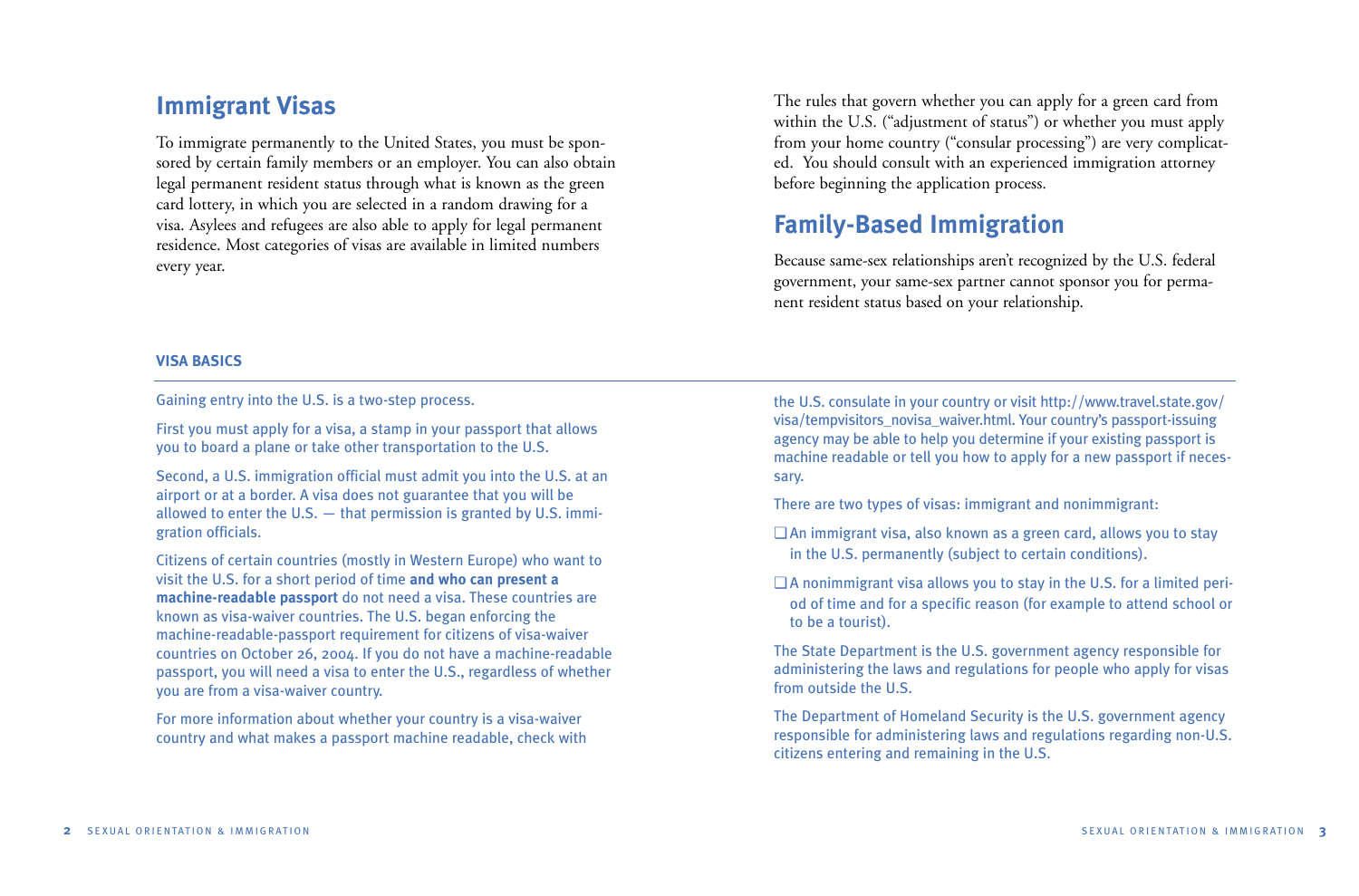## **Immigrant Visas**

To immigrate permanently to the United States, you must be sponsored by certain family members or an employer. You can also obtain legal permanent resident status through what is known as the green card lottery, in which you are selected in a random drawing for a visa. Asylees and refugees are also able to apply for legal permanent residence. Most categories of visas are available in limited numbers every year.

The rules that govern whether you can apply for a green card from within the U.S. ("adjustment of status") or whether you must apply from your home country ("consular processing") are very complicated. You should consult with an experienced immigration attorney before beginning the application process.

# **Family-Based Immigration**

Because same-sex relationships aren't recognized by the U.S. federal government, your same-sex partner cannot sponsor you for permanent resident status based on your relationship.

#### **VISA BASICS**

Gaining entry into the U.S. is a two-step process.

First you must apply for a visa, a stamp in your passport that allows you to board a plane or take other transportation to the U.S.

Second, a U.S. immigration official must admit you into the U.S. at an airport or at a border. A visa does not guarantee that you will be allowed to enter the U.S. — that permission is granted by U.S. immigration officials.

Citizens of certain countries (mostly in Western Europe) who want to visit the U.S. for a short period of time **and who can present a machine-readable passport** do not need a visa. These countries are known as visa-waiver countries. The U.S. began enforcing the machine-readable-passport requirement for citizens of visa-waiver countries on October 26, 2004. If you do not have a machine-readable passport, you will need a visa to enter the U.S., regardless of whether you are from a visa-waiver country.

For more information about whether your country is a visa-waiver country and what makes a passport machine readable, check with the U.S. consulate in your country or visit http://www.travel.state.gov/ visa/tempvisitors\_novisa\_waiver.html. Your country's passport-issuing agency may be able to help you determine if your existing passport is machine readable or tell you how to apply for a new passport if necessary.

There are two types of visas: immigrant and nonimmigrant:

- ❏ An immigrant visa, also known as a green card, allows you to stay in the U.S. permanently (subject to certain conditions).
- ❏ A nonimmigrant visa allows you to stay in the U.S. for a limited period of time and for a specific reason (for example to attend school or to be a tourist).

The State Department is the U.S. government agency responsible for administering the laws and regulations for people who apply for visas from outside the U.S.

The Department of Homeland Security is the U.S. government agency responsible for administering laws and regulations regarding non-U.S. citizens entering and remaining in the U.S.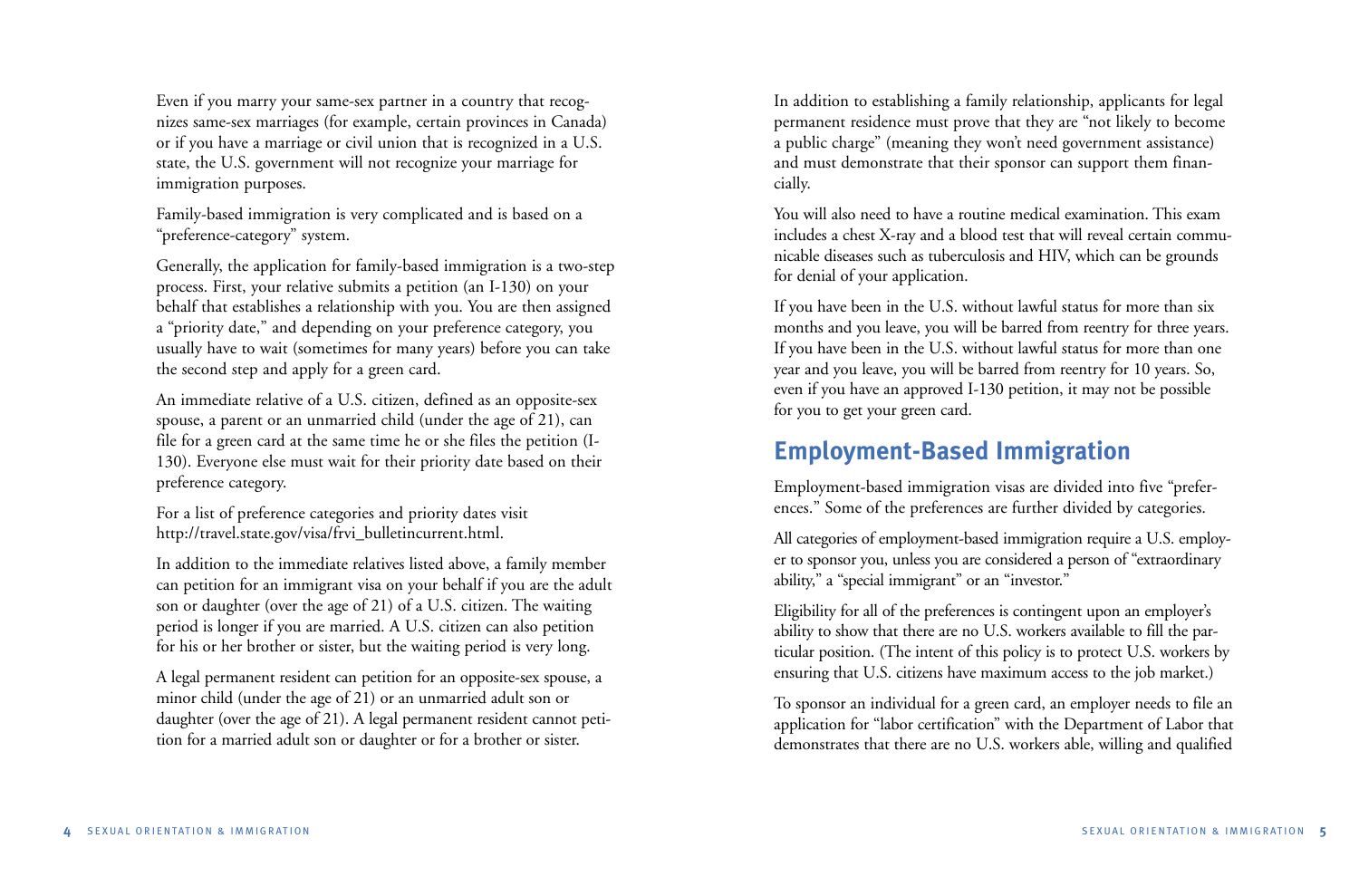Even if you marry your same-sex partner in a country that recognizes same-sex marriages (for example, certain provinces in Canada) or if you have a marriage or civil union that is recognized in a U.S. state, the U.S. government will not recognize your marriage for immigration purposes.

Family-based immigration is very complicated and is based on a "preference-category" system.

Generally, the application for family-based immigration is a two-step process. First, your relative submits a petition (an I-130) on your behalf that establishes a relationship with you. You are then assigned a "priority date," and depending on your preference category, you usually have to wait (sometimes for many years) before you can take the second step and apply for a green card.

An immediate relative of a U.S. citizen, defined as an opposite-sex spouse, a parent or an unmarried child (under the age of 21), can file for a green card at the same time he or she files the petition (I-130). Everyone else must wait for their priority date based on their preference category.

For a list of preference categories and priority dates visit http://travel.state.gov/visa/frvi\_bulletincurrent.html.

In addition to the immediate relatives listed above, a family member can petition for an immigrant visa on your behalf if you are the adult son or daughter (over the age of 21) of a U.S. citizen. The waiting period is longer if you are married. A U.S. citizen can also petition for his or her brother or sister, but the waiting period is very long.

A legal permanent resident can petition for an opposite-sex spouse, a minor child (under the age of 21) or an unmarried adult son or daughter (over the age of 21). A legal permanent resident cannot petition for a married adult son or daughter or for a brother or sister.

In addition to establishing a family relationship, applicants for legal permanent residence must prove that they are "not likely to become a public charge" (meaning they won't need government assistance) and must demonstrate that their sponsor can support them financially.

You will also need to have a routine medical examination. This exam includes a chest X-ray and a blood test that will reveal certain communicable diseases such as tuberculosis and HIV, which can be grounds for denial of your application.

If you have been in the U.S. without lawful status for more than six months and you leave, you will be barred from reentry for three years. If you have been in the U.S. without lawful status for more than one year and you leave, you will be barred from reentry for 10 years. So, even if you have an approved I-130 petition, it may not be possible for you to get your green card.

# **Employment-Based Immigration**

Employment-based immigration visas are divided into five "preferences." Some of the preferences are further divided by categories.

All categories of employment-based immigration require a U.S. employer to sponsor you, unless you are considered a person of "extraordinary ability," a "special immigrant" or an "investor."

Eligibility for all of the preferences is contingent upon an employer's ability to show that there are no U.S. workers available to fill the particular position. (The intent of this policy is to protect U.S. workers by ensuring that U.S. citizens have maximum access to the job market.)

To sponsor an individual for a green card, an employer needs to file an application for "labor certification" with the Department of Labor that demonstrates that there are no U.S. workers able, willing and qualified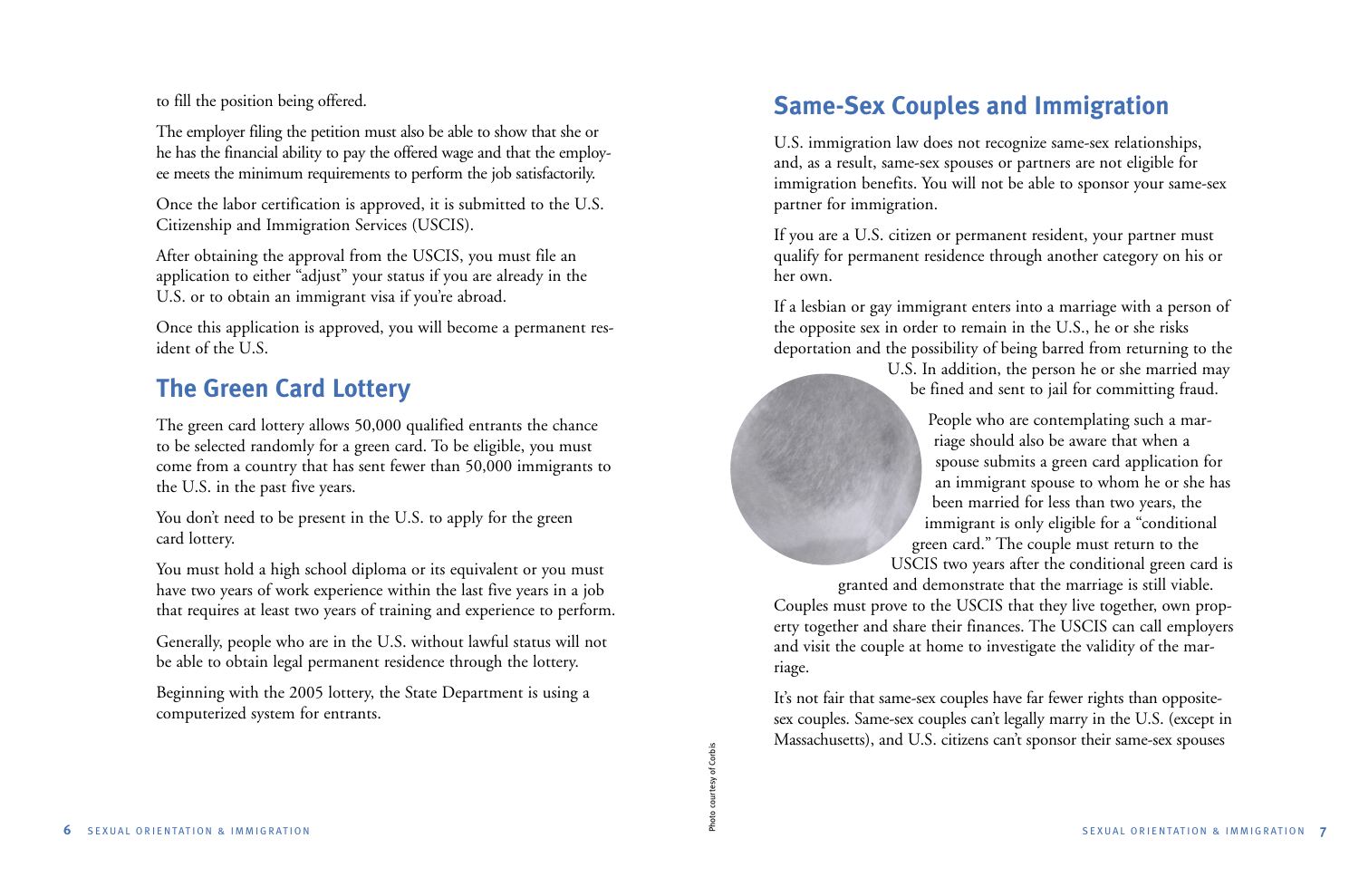to fill the position being offered.

The employer filing the petition must also be able to show that she or he has the financial ability to pay the offered wage and that the employee meets the minimum requirements to perform the job satisfactorily.

Once the labor certification is approved, it is submitted to the U.S. Citizenship and Immigration Services (USCIS).

After obtaining the approval from the USCIS, you must file an application to either "adjust" your status if you are already in the U.S. or to obtain an immigrant visa if you're abroad.

Once this application is approved, you will become a permanent resident of the U.S.

# **The Green Card Lottery**

The green card lottery allows 50,000 qualified entrants the chance to be selected randomly for a green card. To be eligible, you must come from a country that has sent fewer than 50,000 immigrants to the U.S. in the past five years.

You don't need to be present in the U.S. to apply for the green card lottery.

You must hold a high school diploma or its equivalent or you must have two years of work experience within the last five years in a job that requires at least two years of training and experience to perform.

Generally, people who are in the U.S. without lawful status will not be able to obtain legal permanent residence through the lottery.

Beginning with the 2005 lottery, the State Department is using a computerized system for entrants.

# **Same-Sex Couples and Immigration**

U.S. immigration law does not recognize same-sex relationships, and, as a result, same-sex spouses or partners are not eligible for immigration benefits. You will not be able to sponsor your same-sex partner for immigration.

If you are a U.S. citizen or permanent resident, your partner must qualify for permanent residence through another category on his or her own.

If a lesbian or gay immigrant enters into a marriage with a person of the opposite sex in order to remain in the U.S., he or she risks deportation and the possibility of being barred from returning to the

> U.S. In addition, the person he or she married may be fined and sent to jail for committing fraud.

> People who are contemplating such a marriage should also be aware that when a spouse submits a green card application for an immigrant spouse to whom he or she has been married for less than two years, the immigrant is only eligible for a "conditional green card." The couple must return to the USCIS two years after the conditional green card is

granted and demonstrate that the marriage is still viable.

Couples must prove to the USCIS that they live together, own property together and share their finances. The USCIS can call employers and visit the couple at home to investigate the validity of the marriage.

It's not fair that same-sex couples have far fewer rights than oppositesex couples. Same-sex couples can't legally marry in the U.S. (except in Massachusetts), and U.S. citizens can't sponsor their same-sex spouses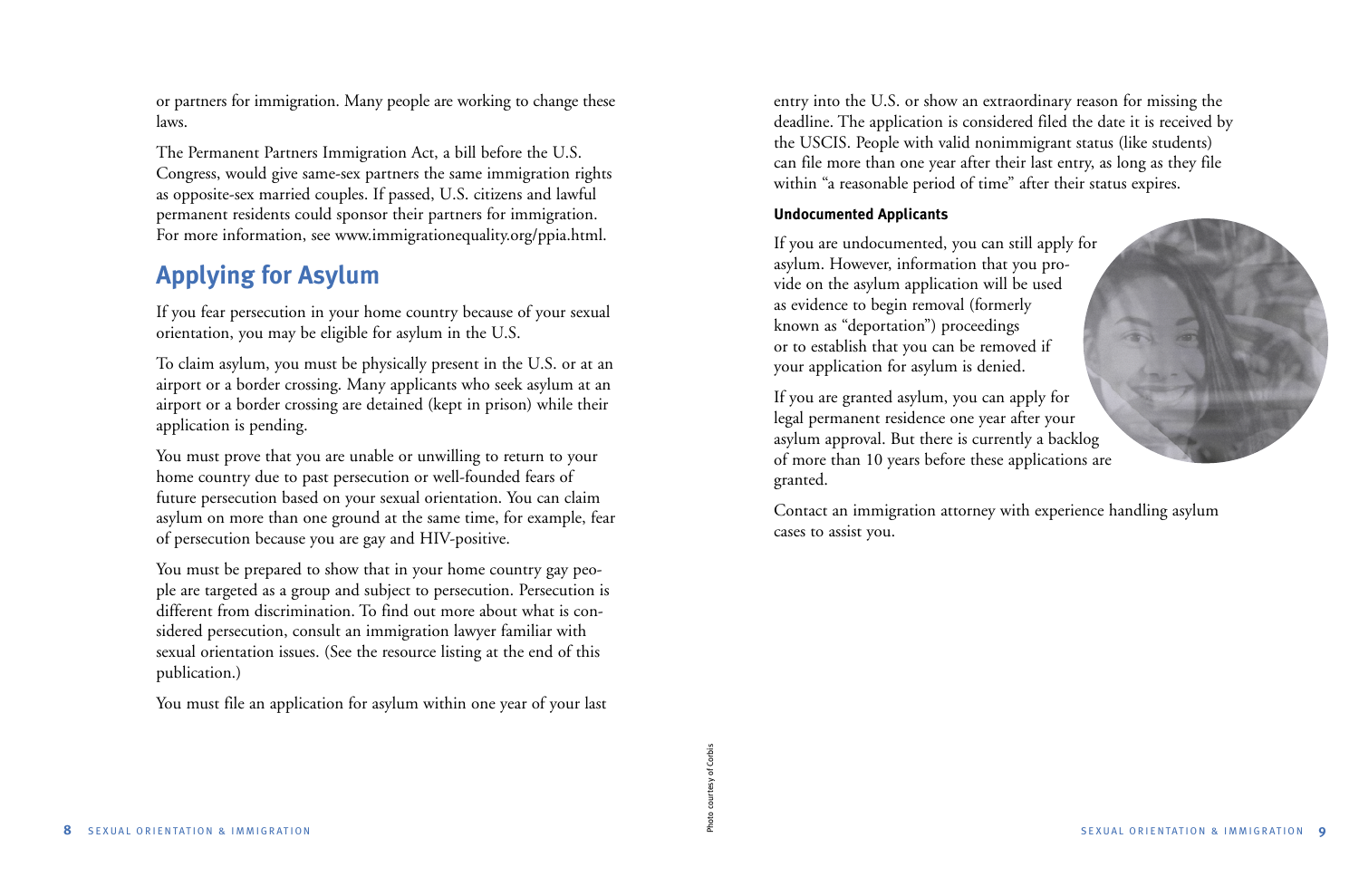or partners for immigration. Many people are working to change these laws.

The Permanent Partners Immigration Act, a bill before the U.S. Congress, would give same-sex partners the same immigration rights as opposite-sex married couples. If passed, U.S. citizens and lawful permanent residents could sponsor their partners for immigration. For more information, see www.immigrationequality.org/ppia.html.

# **Applying for Asylum**

If you fear persecution in your home country because of your sexual orientation, you may be eligible for asylum in the U.S.

To claim asylum, you must be physically present in the U.S. or at an airport or a border crossing. Many applicants who seek asylum at an airport or a border crossing are detained (kept in prison) while their application is pending.

You must prove that you are unable or unwilling to return to your home country due to past persecution or well-founded fears of future persecution based on your sexual orientation. You can claim asylum on more than one ground at the same time, for example, fear of persecution because you are gay and HIV-positive.

You must be prepared to show that in your home country gay people are targeted as a group and subject to persecution. Persecution is different from discrimination. To find out more about what is considered persecution, consult an immigration lawyer familiar with sexual orientation issues. (See the resource listing at the end of this publication.)

You must file an application for asylum within one year of your last

entry into the U.S. or show an extraordinary reason for missing the deadline. The application is considered filed the date it is received by the USCIS. People with valid nonimmigrant status (like students) can file more than one year after their last entry, as long as they file within "a reasonable period of time" after their status expires.

## **Undocumented Applicants**

If you are undocumented, you can still apply for asylum. However, information that you provide on the asylum application will be used as evidence to begin removal (formerly known as "deportation") proceedings or to establish that you can be removed if your application for asylum is denied.

If you are granted asylum, you can apply for legal permanent residence one year after your asylum approval. But there is currently a backlog of more than 10 years before these applications are granted.



Contact an immigration attorney with experience handling asylum cases to assist you.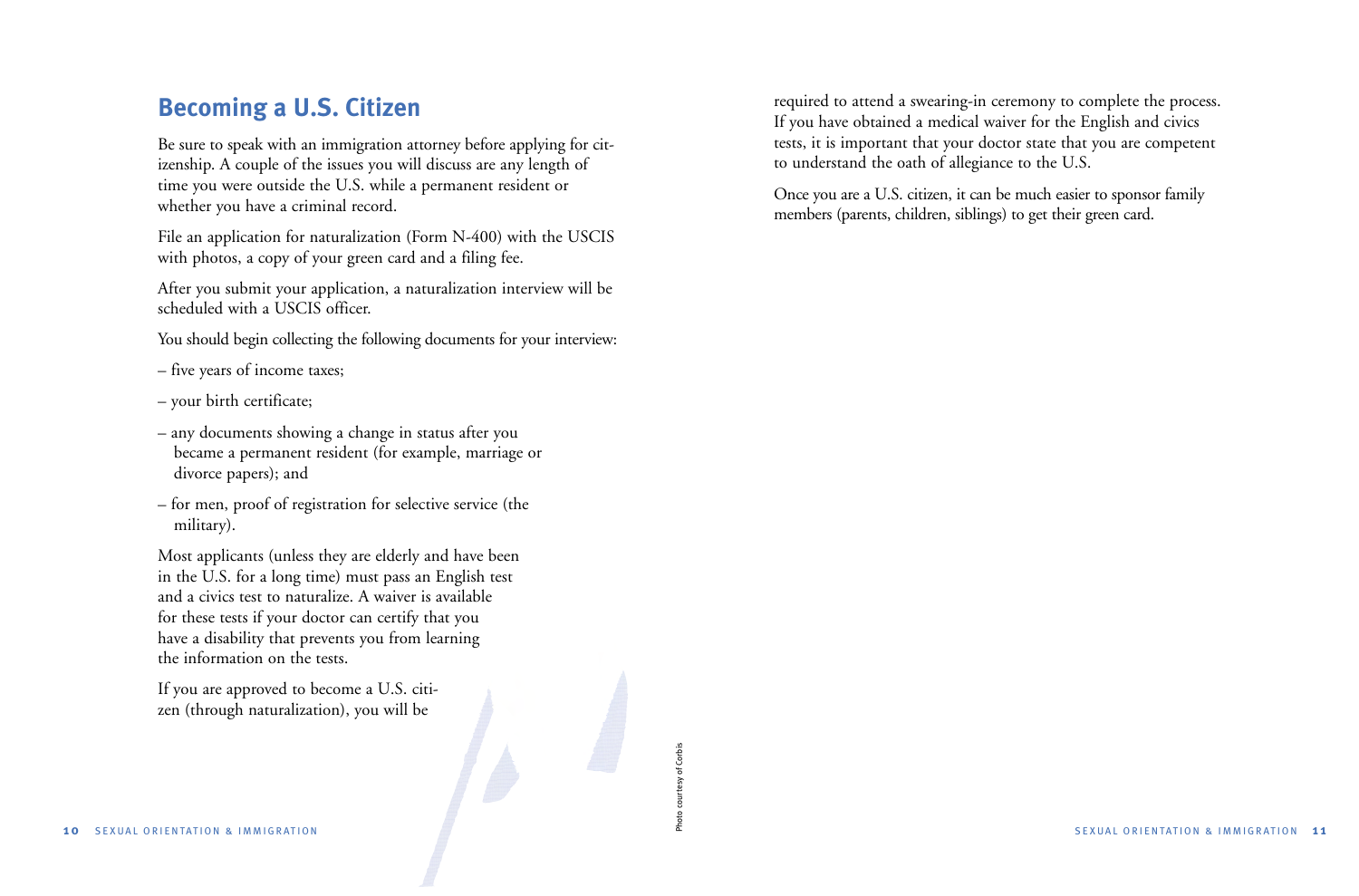# **Becoming a U.S. Citizen**

Be sure to speak with an immigration attorney before applying for citizenship. A couple of the issues you will discuss are any length of time you were outside the U.S. while a permanent resident or whether you have a criminal record.

File an application for naturalization (Form N-400) with the USCIS with photos, a copy of your green card and a filing fee.

After you submit your application, a naturalization interview will be scheduled with a USCIS officer.

You should begin collecting the following documents for your interview:

- five years of income taxes;
- your birth certificate;
- any documents showing a change in status after you became a permanent resident (for example, marriage or divorce papers); and
- for men, proof of registration for selective service (the military).

Most applicants (unless they are elderly and have been in the U.S. for a long time) must pass an English test and a civics test to naturalize. A waiver is available for these tests if your doctor can certify that you have a disability that prevents you from learning the information on the tests.

Photo courtesy of Corbis

courtesy of Corbis

∕

If you are approved to become a U.S. citizen (through naturalization), you will be

required to attend a swearing-in ceremony to complete the process. If you have obtained a medical waiver for the English and civics tests, it is important that your doctor state that you are competent to understand the oath of allegiance to the U.S.

Once you are a U.S. citizen, it can be much easier to sponsor family members (parents, children, siblings) to get their green card.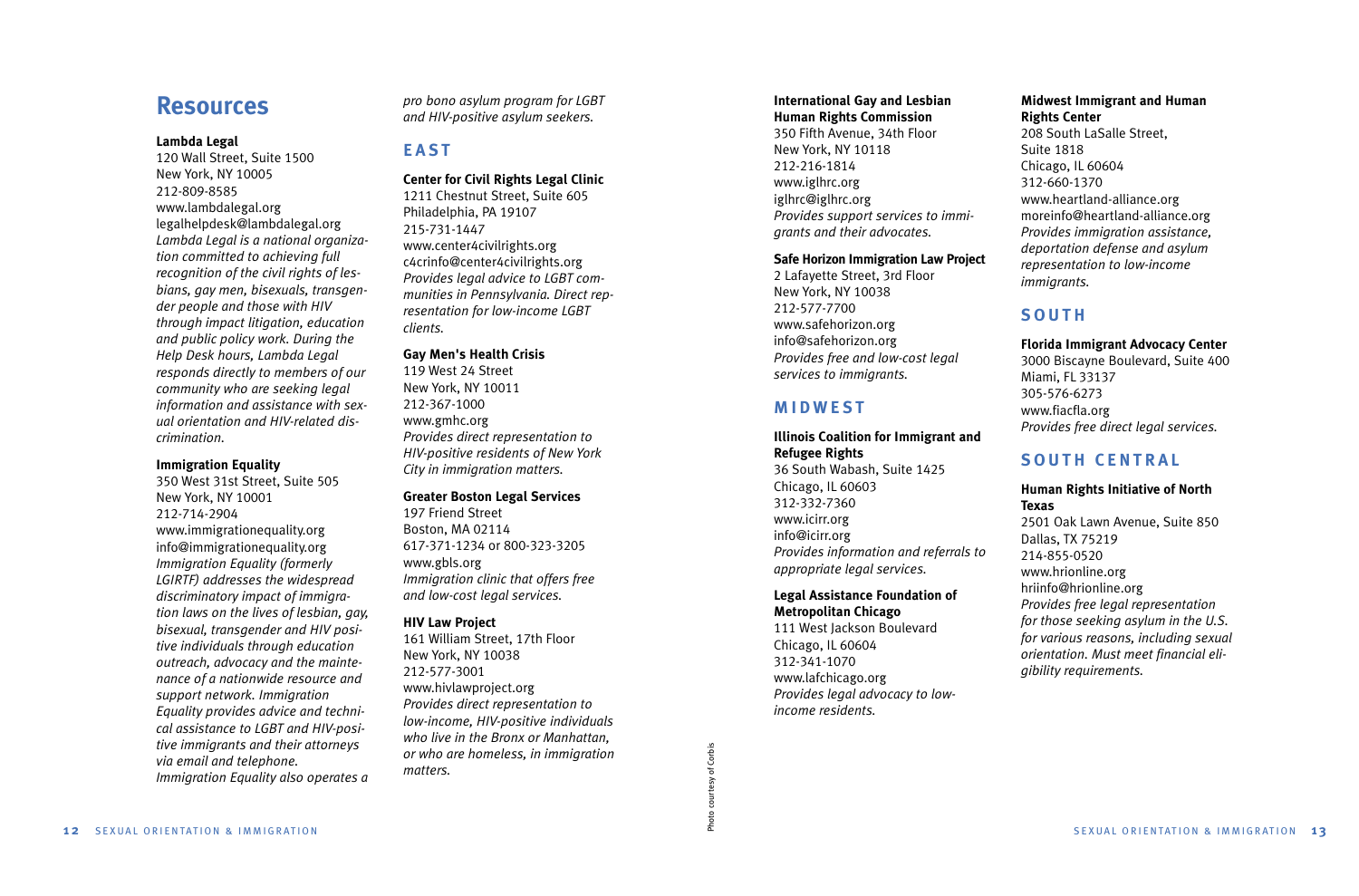## **Resources**

#### **Lambda Legal**

120 Wall Street, Suite 1500 New York, NY 10005 212-809-8585www.lambdalegal.org legalhelpdesk@lambdalegal.org *Lambda Legal is a national organization committed to achieving full recognition of the civil rights of lesbians, gay men, bisexuals, transgender people and those with HIV through impact litigation, education and public policy work. During the Help Desk hours, Lambda Legal responds directly to members of our community who are seeking legal information and assistance with sexual orientation and HIV-related discrimination.*

#### **Immigration Equality**

350 West 31st Street, Suite 505 New York, NY 10001 212-714-2904www.immigrationequality.org info@immigrationequality.org *Immigration Equality (formerly LGIRTF) addresses the widespread discriminatory impact of immigration laws on the lives of lesbian, gay, bisexual, transgender and HIV positive individuals through education outreach, advocacy and the maintenance of a nationwide resource and support network. Immigration Equality provides advice and technical assistance to LGBT and HIV-positive immigrants and their attorneys via email and telephone. Immigration Equality also operates a* *pro bono asylum program for LGBT and HIV-positive asylum seekers.*

## **EAST**

#### **Center for Civil Rights Legal Clinic**

1211 Chestnut Street, Suite 605 Philadelphia, PA 19107 215-731-1447 www.center4civilrights.org c4crinfo@center4civilrights.org *Provides legal advice to LGBT communities in Pennsylvania. Direct representation for low-income LGBT clients.*

### **Gay Men's Health Crisis**

119 West 24 Street New York, NY 10011 212-367-1000 www.gmhc.org *Provides direct representation to HIV-positive residents of New York City in immigration matters.*

#### **Greater Boston Legal Services**

197 Friend Street Boston, MA 02114 617-371-1234 or 800-323-3205 www.gbls.org *Immigration clinic that offers free and low-cost legal services.* 

#### **HIV Law Project**

161 William Street, 17th Floor New York, NY 10038 212-577-3001 www.hivlawproject.org *Provides direct representation to low-income, HIV-positive individuals who live in the Bronx or Manhattan, or who are homeless, in immigration matters.* 

#### **International Gay and Lesbian Human Rights Commission**

350 Fifth Avenue, 34th Floor New York, NY 10118 212-216-1814www.iglhrc.org iglhrc@iglhrc.org *Provides support services to immigrants and their advocates.*

#### **Safe Horizon Immigration Law Project**

2 Lafayette Street, 3rd Floor New York, NY 10038 212-577-7700www.safehorizon.org info@safehorizon.org *Provides free and low-cost legal services to immigrants.*

## **MIDWEST**

## **Illinois Coalition for Immigrant and Refugee Rights**

36 South Wabash, Suite 1425 Chicago, IL 60603 312-332-7360www.icirr.org info@icirr.org *Provides information and referrals to appropriate legal services.*

#### **Legal Assistance Foundation of Metropolitan Chicago**

111 West Jackson Boulevard Chicago, IL 60604 312-341-1070 www.lafchicago.org *Provides legal advocacy to lowincome residents.*

Photo courtesy of Corbis

Photo courtesy of Corbis

#### **Midwest Immigrant and Human Rights Center**

208 South LaSalle Street, Suite 1818 Chicago, IL 60604 312-660-1370 www.heartland-alliance.org moreinfo@heartland-alliance.org *Provides immigration assistance, deportation defense and asylum representation to low-income immigrants.*

## **SOUTH**

#### **Florida Immigrant Advocacy Center**

3000 Biscayne Boulevard, Suite 400 Miami, FL 33137 305-576-6273 www.fiacfla.org *Provides free direct legal services.*

## **SOUTH CENTRAL**

#### **Human Rights Initiative of North Texas**

2501 Oak Lawn Avenue, Suite 850 Dallas, TX 75219 214-855-0520www.hrionline.org hriinfo@hrionline.org *Provides free legal representation for those seeking asylum in the U.S. for various reasons, including sexual orientation. Must meet financial eligibility requirements.*